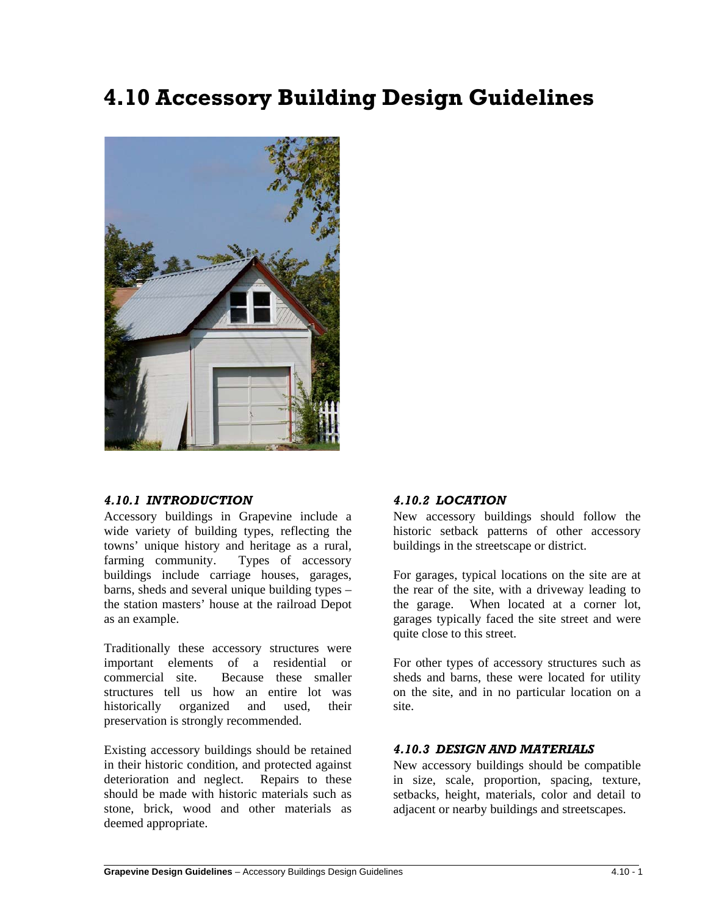# **4.10 Accessory Building Design Guidelines**



### *4.10.1 INTRODUCTION*

Accessory buildings in Grapevine include a wide variety of building types, reflecting the towns' unique history and heritage as a rural, farming community. Types of accessory buildings include carriage houses, garages, barns, sheds and several unique building types – the station masters' house at the railroad Depot as an example.

Traditionally these accessory structures were important elements of a residential or commercial site. Because these smaller structures tell us how an entire lot was historically organized and used, their preservation is strongly recommended.

Existing accessory buildings should be retained in their historic condition, and protected against deterioration and neglect. Repairs to these should be made with historic materials such as stone, brick, wood and other materials as deemed appropriate.

 $\overline{a}$ 

#### *4.10.2 LOCATION*

New accessory buildings should follow the historic setback patterns of other accessory buildings in the streetscape or district.

For garages, typical locations on the site are at the rear of the site, with a driveway leading to the garage. When located at a corner lot, garages typically faced the site street and were quite close to this street.

For other types of accessory structures such as sheds and barns, these were located for utility on the site, and in no particular location on a site.

### *4.10.3 DESIGN AND MATERIALS*

New accessory buildings should be compatible in size, scale, proportion, spacing, texture, setbacks, height, materials, color and detail to adjacent or nearby buildings and streetscapes.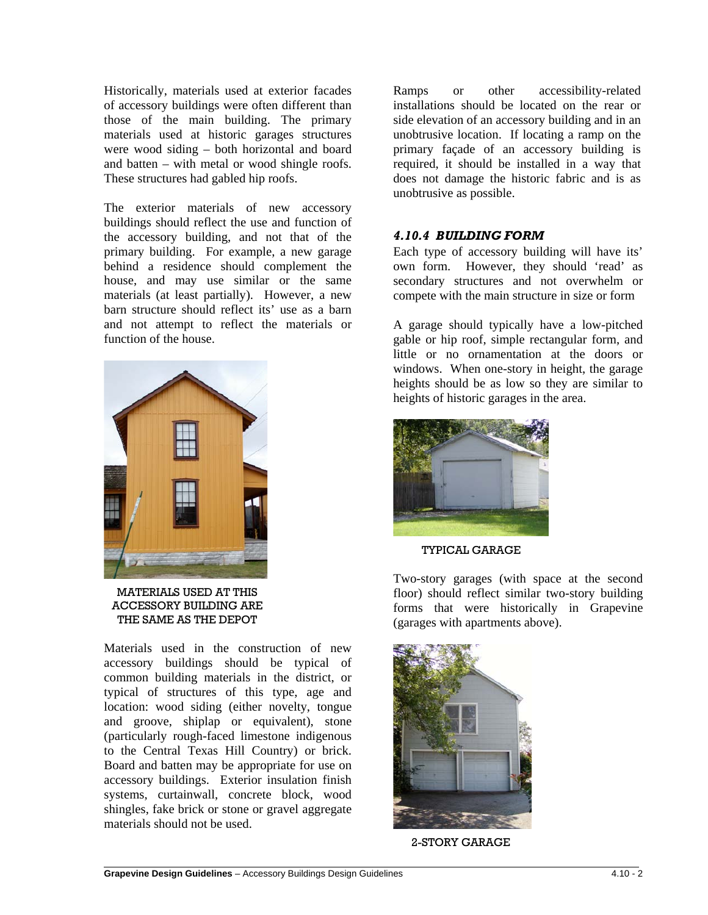Historically, materials used at exterior facades of accessory buildings were often different than those of the main building. The primary materials used at historic garages structures were wood siding – both horizontal and board and batten – with metal or wood shingle roofs. These structures had gabled hip roofs.

The exterior materials of new accessory buildings should reflect the use and function of the accessory building, and not that of the primary building. For example, a new garage behind a residence should complement the house, and may use similar or the same materials (at least partially). However, a new barn structure should reflect its' use as a barn and not attempt to reflect the materials or function of the house.



MATERIALS USED AT THIS ACCESSORY BUILDING ARE THE SAME AS THE DEPOT

Materials used in the construction of new accessory buildings should be typical of common building materials in the district, or typical of structures of this type, age and location: wood siding (either novelty, tongue and groove, shiplap or equivalent), stone (particularly rough-faced limestone indigenous to the Central Texas Hill Country) or brick. Board and batten may be appropriate for use on accessory buildings. Exterior insulation finish systems, curtainwall, concrete block, wood shingles, fake brick or stone or gravel aggregate materials should not be used.

Ramps or other accessibility-related installations should be located on the rear or side elevation of an accessory building and in an unobtrusive location. If locating a ramp on the primary façade of an accessory building is required, it should be installed in a way that does not damage the historic fabric and is as unobtrusive as possible.

## *4.10.4 BUILDING FORM*

Each type of accessory building will have its' own form. However, they should 'read' as secondary structures and not overwhelm or compete with the main structure in size or form

A garage should typically have a low-pitched gable or hip roof, simple rectangular form, and little or no ornamentation at the doors or windows. When one-story in height, the garage heights should be as low so they are similar to heights of historic garages in the area.



#### TYPICAL GARAGE

Two-story garages (with space at the second floor) should reflect similar two-story building forms that were historically in Grapevine (garages with apartments above).



2-STORY GARAGE